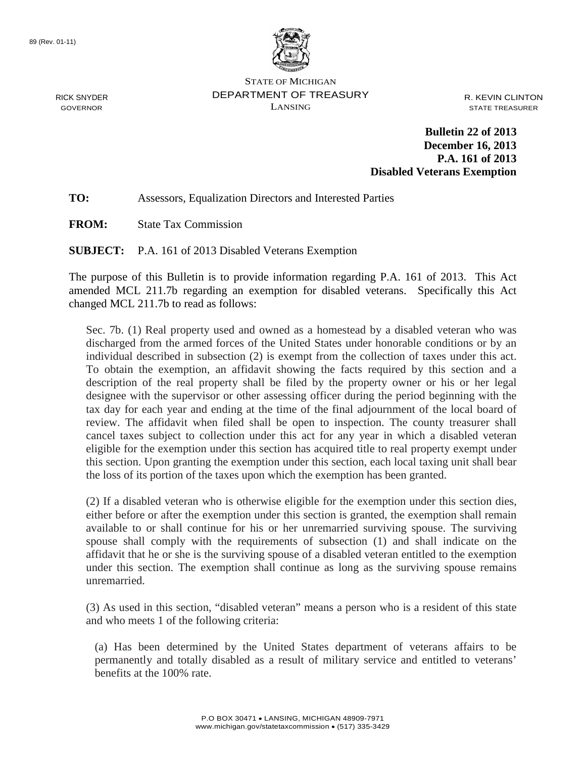

STATE OF MICHIGAN DEPARTMENT OF TREASURY LANSING

R. KEVIN CLINTON STATE TREASURER

**Bulletin 22 of 2013 December 16, 2013 P.A. 161 of 2013 Disabled Veterans Exemption**

### **TO:** Assessors, Equalization Directors and Interested Parties

**FROM:** State Tax Commission

**SUBJECT:** P.A. 161 of 2013 Disabled Veterans Exemption

The purpose of this Bulletin is to provide information regarding P.A. 161 of 2013. This Act amended MCL 211.7b regarding an exemption for disabled veterans. Specifically this Act changed MCL 211.7b to read as follows:

Sec. 7b. (1) Real property used and owned as a homestead by a disabled veteran who was discharged from the armed forces of the United States under honorable conditions or by an individual described in subsection (2) is exempt from the collection of taxes under this act. To obtain the exemption, an affidavit showing the facts required by this section and a description of the real property shall be filed by the property owner or his or her legal designee with the supervisor or other assessing officer during the period beginning with the tax day for each year and ending at the time of the final adjournment of the local board of review. The affidavit when filed shall be open to inspection. The county treasurer shall cancel taxes subject to collection under this act for any year in which a disabled veteran eligible for the exemption under this section has acquired title to real property exempt under this section. Upon granting the exemption under this section, each local taxing unit shall bear the loss of its portion of the taxes upon which the exemption has been granted.

(2) If a disabled veteran who is otherwise eligible for the exemption under this section dies, either before or after the exemption under this section is granted, the exemption shall remain available to or shall continue for his or her unremarried surviving spouse. The surviving spouse shall comply with the requirements of subsection (1) and shall indicate on the affidavit that he or she is the surviving spouse of a disabled veteran entitled to the exemption under this section. The exemption shall continue as long as the surviving spouse remains unremarried.

(3) As used in this section, "disabled veteran" means a person who is a resident of this state and who meets 1 of the following criteria:

(a) Has been determined by the United States department of veterans affairs to be permanently and totally disabled as a result of military service and entitled to veterans' benefits at the 100% rate.

RICK SNYDER GOVERNOR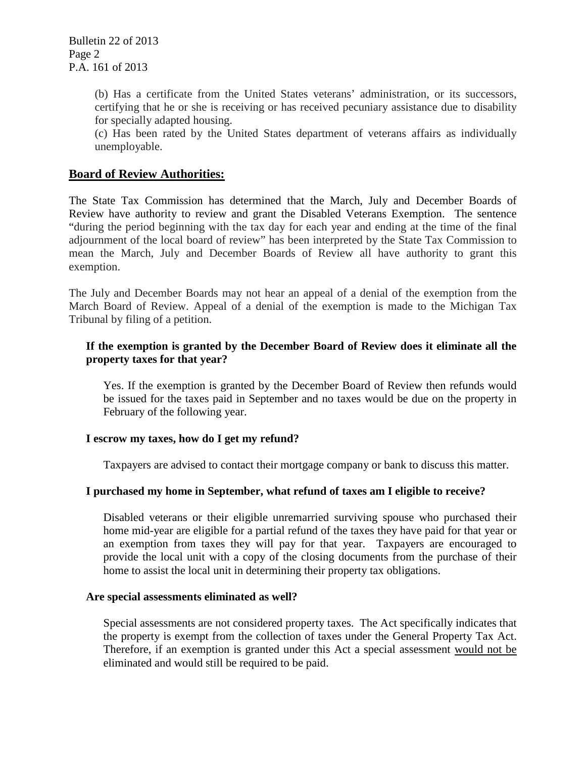(b) Has a certificate from the United States veterans' administration, or its successors, certifying that he or she is receiving or has received pecuniary assistance due to disability for specially adapted housing.

(c) Has been rated by the United States department of veterans affairs as individually unemployable.

# **Board of Review Authorities:**

The State Tax Commission has determined that the March, July and December Boards of Review have authority to review and grant the Disabled Veterans Exemption. The sentence "during the period beginning with the tax day for each year and ending at the time of the final adjournment of the local board of review" has been interpreted by the State Tax Commission to mean the March, July and December Boards of Review all have authority to grant this exemption.

The July and December Boards may not hear an appeal of a denial of the exemption from the March Board of Review. Appeal of a denial of the exemption is made to the Michigan Tax Tribunal by filing of a petition.

## **If the exemption is granted by the December Board of Review does it eliminate all the property taxes for that year?**

Yes. If the exemption is granted by the December Board of Review then refunds would be issued for the taxes paid in September and no taxes would be due on the property in February of the following year.

#### **I escrow my taxes, how do I get my refund?**

Taxpayers are advised to contact their mortgage company or bank to discuss this matter.

# **I purchased my home in September, what refund of taxes am I eligible to receive?**

Disabled veterans or their eligible unremarried surviving spouse who purchased their home mid-year are eligible for a partial refund of the taxes they have paid for that year or an exemption from taxes they will pay for that year. Taxpayers are encouraged to provide the local unit with a copy of the closing documents from the purchase of their home to assist the local unit in determining their property tax obligations.

#### **Are special assessments eliminated as well?**

Special assessments are not considered property taxes. The Act specifically indicates that the property is exempt from the collection of taxes under the General Property Tax Act. Therefore, if an exemption is granted under this Act a special assessment would not be eliminated and would still be required to be paid.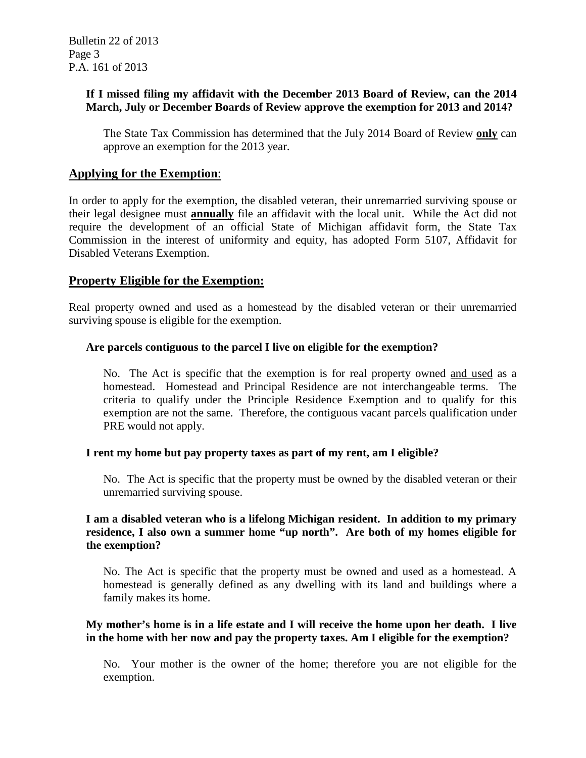# **If I missed filing my affidavit with the December 2013 Board of Review, can the 2014 March, July or December Boards of Review approve the exemption for 2013 and 2014?**

The State Tax Commission has determined that the July 2014 Board of Review **only** can approve an exemption for the 2013 year.

# **Applying for the Exemption**:

In order to apply for the exemption, the disabled veteran, their unremarried surviving spouse or their legal designee must **annually** file an affidavit with the local unit. While the Act did not require the development of an official State of Michigan affidavit form, the State Tax Commission in the interest of uniformity and equity, has adopted Form 5107, Affidavit for Disabled Veterans Exemption.

# **Property Eligible for the Exemption:**

Real property owned and used as a homestead by the disabled veteran or their unremarried surviving spouse is eligible for the exemption.

# **Are parcels contiguous to the parcel I live on eligible for the exemption?**

No. The Act is specific that the exemption is for real property owned and used as a homestead. Homestead and Principal Residence are not interchangeable terms. The criteria to qualify under the Principle Residence Exemption and to qualify for this exemption are not the same. Therefore, the contiguous vacant parcels qualification under PRE would not apply.

# **I rent my home but pay property taxes as part of my rent, am I eligible?**

No. The Act is specific that the property must be owned by the disabled veteran or their unremarried surviving spouse.

### **I am a disabled veteran who is a lifelong Michigan resident. In addition to my primary residence, I also own a summer home "up north". Are both of my homes eligible for the exemption?**

No. The Act is specific that the property must be owned and used as a homestead. A homestead is generally defined as any dwelling with its land and buildings where a family makes its home.

# **My mother's home is in a life estate and I will receive the home upon her death. I live in the home with her now and pay the property taxes. Am I eligible for the exemption?**

No. Your mother is the owner of the home; therefore you are not eligible for the exemption.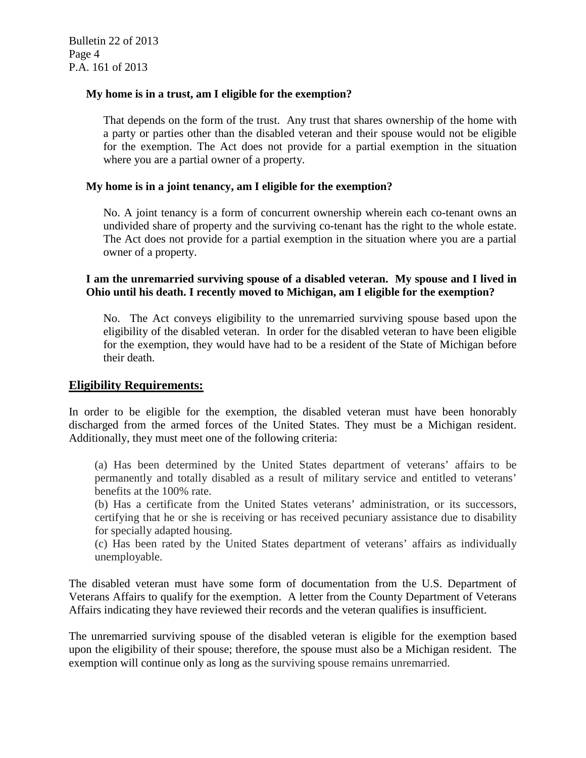### **My home is in a trust, am I eligible for the exemption?**

That depends on the form of the trust. Any trust that shares ownership of the home with a party or parties other than the disabled veteran and their spouse would not be eligible for the exemption. The Act does not provide for a partial exemption in the situation where you are a partial owner of a property.

#### **My home is in a joint tenancy, am I eligible for the exemption?**

No. A joint tenancy is a form of concurrent ownership wherein each co-tenant owns an undivided share of property and the surviving co-tenant has the right to the whole estate. The Act does not provide for a partial exemption in the situation where you are a partial owner of a property.

### **I am the unremarried surviving spouse of a disabled veteran. My spouse and I lived in Ohio until his death. I recently moved to Michigan, am I eligible for the exemption?**

No. The Act conveys eligibility to the unremarried surviving spouse based upon the eligibility of the disabled veteran. In order for the disabled veteran to have been eligible for the exemption, they would have had to be a resident of the State of Michigan before their death.

# **Eligibility Requirements:**

In order to be eligible for the exemption, the disabled veteran must have been honorably discharged from the armed forces of the United States. They must be a Michigan resident. Additionally, they must meet one of the following criteria:

(a) Has been determined by the United States department of veterans' affairs to be permanently and totally disabled as a result of military service and entitled to veterans' benefits at the 100% rate.

(b) Has a certificate from the United States veterans' administration, or its successors, certifying that he or she is receiving or has received pecuniary assistance due to disability for specially adapted housing.

(c) Has been rated by the United States department of veterans' affairs as individually unemployable.

The disabled veteran must have some form of documentation from the U.S. Department of Veterans Affairs to qualify for the exemption. A letter from the County Department of Veterans Affairs indicating they have reviewed their records and the veteran qualifies is insufficient.

The unremarried surviving spouse of the disabled veteran is eligible for the exemption based upon the eligibility of their spouse; therefore, the spouse must also be a Michigan resident. The exemption will continue only as long as the surviving spouse remains unremarried.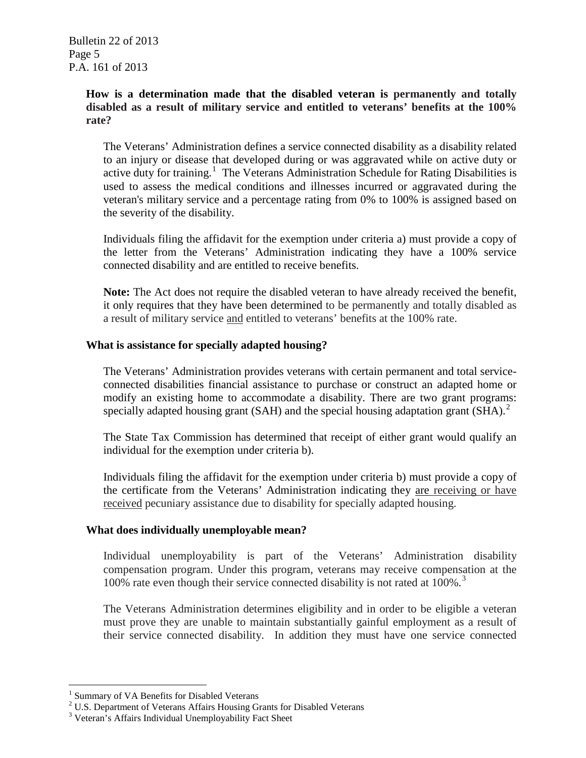Bulletin 22 of 2013 Page 5 P.A. 161 of 2013

### **How is a determination made that the disabled veteran is permanently and totally disabled as a result of military service and entitled to veterans' benefits at the 100% rate?**

The Veterans' Administration defines a service connected disability as a disability related to an injury or disease that developed during or was aggravated while on active duty or active duty for training.<sup>[1](#page-4-0)</sup> The Veterans Administration Schedule for Rating Disabilities is used to assess the medical conditions and illnesses incurred or aggravated during the veteran's military service and a percentage rating from 0% to 100% is assigned based on the severity of the disability.

Individuals filing the affidavit for the exemption under criteria a) must provide a copy of the letter from the Veterans' Administration indicating they have a 100% service connected disability and are entitled to receive benefits.

**Note:** The Act does not require the disabled veteran to have already received the benefit, it only requires that they have been determined to be permanently and totally disabled as a result of military service and entitled to veterans' benefits at the 100% rate.

#### **What is assistance for specially adapted housing?**

The Veterans' Administration provides veterans with certain permanent and total serviceconnected disabilities financial assistance to purchase or construct an adapted home or modify an existing home to accommodate a disability. There are two grant programs: specially adapted housing grant (SAH) and the special housing adaptation grant (SHA).<sup>[2](#page-4-1)</sup>

The State Tax Commission has determined that receipt of either grant would qualify an individual for the exemption under criteria b).

Individuals filing the affidavit for the exemption under criteria b) must provide a copy of the certificate from the Veterans' Administration indicating they are receiving or have received pecuniary assistance due to disability for specially adapted housing.

#### **What does individually unemployable mean?**

Individual unemployability is part of the Veterans' Administration disability compensation program. Under this program, veterans may receive compensation at the 100% rate even though their service connected disability is not rated at 100%.<sup>[3](#page-4-2)</sup>

The Veterans Administration determines eligibility and in order to be eligible a veteran must prove they are unable to maintain substantially gainful employment as a result of their service connected disability. In addition they must have one service connected

 $\overline{a}$ 

<span id="page-4-0"></span><sup>&</sup>lt;sup>1</sup> Summary of VA Benefits for Disabled Veterans

<span id="page-4-1"></span><sup>&</sup>lt;sup>2</sup> U.S. Department of Veterans Affairs Housing Grants for Disabled Veterans

<span id="page-4-2"></span><sup>3</sup> Veteran's Affairs Individual Unemployability Fact Sheet